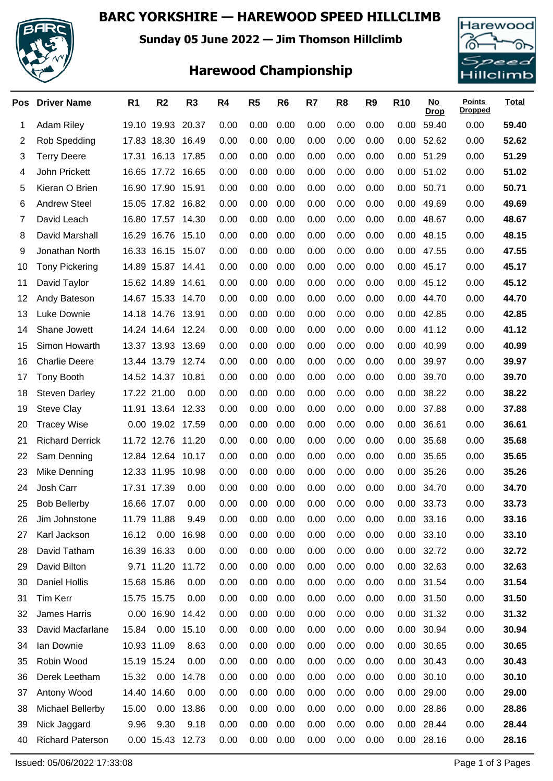### **BARC YORKSHIRE — HAREWOOD SPEED HILLCLIMB**



**Sunday 05 June 2022 — Jim Thomson Hillclimb**

# **Harewood Championship**



| <u>Pos</u> | <b>Driver Name</b>      | <u>R1</u>   | R2                | R3    | <u>R4</u> | R5   | R6   | <u>R7</u> | <u>R8</u> | R9   | R <sub>10</sub> | No l<br><b>Drop</b> | <b>Points</b><br><b>Dropped</b> | <b>Total</b> |
|------------|-------------------------|-------------|-------------------|-------|-----------|------|------|-----------|-----------|------|-----------------|---------------------|---------------------------------|--------------|
| 1          | <b>Adam Riley</b>       |             | 19.10 19.93 20.37 |       | 0.00      | 0.00 | 0.00 | 0.00      | 0.00      | 0.00 | 0.00            | 59.40               | 0.00                            | 59.40        |
| 2          | Rob Spedding            |             | 17.83 18.30       | 16.49 | 0.00      | 0.00 | 0.00 | 0.00      | 0.00      | 0.00 | 0.00            | 52.62               | 0.00                            | 52.62        |
| 3          | <b>Terry Deere</b>      |             | 17.31 16.13       | 17.85 | 0.00      | 0.00 | 0.00 | 0.00      | 0.00      | 0.00 | 0.00            | 51.29               | 0.00                            | 51.29        |
| 4          | John Prickett           |             | 16.65 17.72 16.65 |       | 0.00      | 0.00 | 0.00 | 0.00      | 0.00      | 0.00 | 0.00            | 51.02               | 0.00                            | 51.02        |
| 5          | Kieran O Brien          |             | 16.90 17.90       | 15.91 | 0.00      | 0.00 | 0.00 | 0.00      | 0.00      | 0.00 | 0.00            | 50.71               | 0.00                            | 50.71        |
| 6          | <b>Andrew Steel</b>     |             | 15.05 17.82 16.82 |       | 0.00      | 0.00 | 0.00 | 0.00      | 0.00      | 0.00 | 0.00            | 49.69               | 0.00                            | 49.69        |
| 7          | David Leach             |             | 16.80 17.57       | 14.30 | 0.00      | 0.00 | 0.00 | 0.00      | 0.00      | 0.00 | 0.00            | 48.67               | 0.00                            | 48.67        |
| 8          | David Marshall          |             | 16.29 16.76       | 15.10 | 0.00      | 0.00 | 0.00 | 0.00      | 0.00      | 0.00 | 0.00            | 48.15               | 0.00                            | 48.15        |
| 9          | Jonathan North          |             | 16.33 16.15       | 15.07 | 0.00      | 0.00 | 0.00 | 0.00      | 0.00      | 0.00 | 0.00            | 47.55               | 0.00                            | 47.55        |
| 10         | <b>Tony Pickering</b>   |             | 14.89 15.87 14.41 |       | 0.00      | 0.00 | 0.00 | 0.00      | 0.00      | 0.00 | 0.00            | 45.17               | 0.00                            | 45.17        |
| 11         | David Taylor            |             | 15.62 14.89       | 14.61 | 0.00      | 0.00 | 0.00 | 0.00      | 0.00      | 0.00 | 0.00            | 45.12               | 0.00                            | 45.12        |
| 12         | Andy Bateson            |             | 14.67 15.33 14.70 |       | 0.00      | 0.00 | 0.00 | 0.00      | 0.00      | 0.00 | 0.00            | 44.70               | 0.00                            | 44.70        |
| 13         | Luke Downie             |             | 14.18 14.76 13.91 |       | 0.00      | 0.00 | 0.00 | 0.00      | 0.00      | 0.00 | 0.00            | 42.85               | 0.00                            | 42.85        |
| 14         | Shane Jowett            |             | 14.24 14.64 12.24 |       | 0.00      | 0.00 | 0.00 | 0.00      | 0.00      | 0.00 | 0.00            | 41.12               | 0.00                            | 41.12        |
| 15         | Simon Howarth           |             | 13.37 13.93 13.69 |       | 0.00      | 0.00 | 0.00 | 0.00      | 0.00      | 0.00 | 0.00            | 40.99               | 0.00                            | 40.99        |
| 16         | <b>Charlie Deere</b>    |             | 13.44 13.79       | 12.74 | 0.00      | 0.00 | 0.00 | 0.00      | 0.00      | 0.00 | 0.00            | 39.97               | 0.00                            | 39.97        |
| 17         | <b>Tony Booth</b>       |             | 14.52 14.37       | 10.81 | 0.00      | 0.00 | 0.00 | 0.00      | 0.00      | 0.00 | 0.00            | 39.70               | 0.00                            | 39.70        |
| 18         | <b>Steven Darley</b>    | 17.22 21.00 |                   | 0.00  | 0.00      | 0.00 | 0.00 | 0.00      | 0.00      | 0.00 | 0.00            | 38.22               | 0.00                            | 38.22        |
| 19         | <b>Steve Clay</b>       |             | 11.91 13.64       | 12.33 | 0.00      | 0.00 | 0.00 | 0.00      | 0.00      | 0.00 | 0.00            | 37.88               | 0.00                            | 37.88        |
| 20         | <b>Tracey Wise</b>      |             | 0.00 19.02 17.59  |       | 0.00      | 0.00 | 0.00 | 0.00      | 0.00      | 0.00 | 0.00            | 36.61               | 0.00                            | 36.61        |
| 21         | <b>Richard Derrick</b>  |             | 11.72 12.76       | 11.20 | 0.00      | 0.00 | 0.00 | 0.00      | 0.00      | 0.00 | 0.00            | 35.68               | 0.00                            | 35.68        |
| 22         | Sam Denning             |             | 12.84 12.64 10.17 |       | 0.00      | 0.00 | 0.00 | 0.00      | 0.00      | 0.00 | 0.00            | 35.65               | 0.00                            | 35.65        |
| 23         | Mike Denning            |             | 12.33 11.95       | 10.98 | 0.00      | 0.00 | 0.00 | 0.00      | 0.00      | 0.00 | 0.00            | 35.26               | 0.00                            | 35.26        |
| 24         | Josh Carr               | 17.31       | 17.39             | 0.00  | 0.00      | 0.00 | 0.00 | 0.00      | 0.00      | 0.00 | 0.00            | 34.70               | 0.00                            | 34.70        |
| 25         | <b>Bob Bellerby</b>     | 16.66 17.07 |                   | 0.00  | 0.00      | 0.00 | 0.00 | 0.00      | 0.00      | 0.00 | 0.00            | 33.73               | 0.00                            | 33.73        |
| 26         | Jim Johnstone           | 11.79 11.88 |                   | 9.49  | 0.00      | 0.00 | 0.00 | 0.00      | 0.00      | 0.00 | 0.00            | 33.16               | 0.00                            | 33.16        |
| 27         | Karl Jackson            | 16.12       | 0.00              | 16.98 | 0.00      | 0.00 | 0.00 | 0.00      | 0.00      | 0.00 | 0.00            | 33.10               | 0.00                            | 33.10        |
| 28         | David Tatham            |             | 16.39 16.33       | 0.00  | 0.00      | 0.00 | 0.00 | 0.00      | 0.00      | 0.00 |                 | 0.00 32.72          | 0.00                            | 32.72        |
| 29         | David Bilton            |             | 9.71 11.20        | 11.72 | 0.00      | 0.00 | 0.00 | 0.00      | 0.00      | 0.00 | 0.00            | 32.63               | 0.00                            | 32.63        |
| 30         | Daniel Hollis           |             | 15.68 15.86       | 0.00  | 0.00      | 0.00 | 0.00 | 0.00      | 0.00      | 0.00 | 0.00            | 31.54               | 0.00                            | 31.54        |
| 31         | <b>Tim Kerr</b>         |             | 15.75 15.75       | 0.00  | 0.00      | 0.00 | 0.00 | 0.00      | 0.00      | 0.00 |                 | 0.00 31.50          | 0.00                            | 31.50        |
| 32         | James Harris            |             | 0.00 16.90        | 14.42 | 0.00      | 0.00 | 0.00 | 0.00      | 0.00      | 0.00 |                 | 0.00 31.32          | 0.00                            | 31.32        |
| 33         | David Macfarlane        | 15.84       | 0.00              | 15.10 | 0.00      | 0.00 | 0.00 | 0.00      | 0.00      | 0.00 | 0.00            | 30.94               | 0.00                            | 30.94        |
| 34         | Ian Downie              |             | 10.93 11.09       | 8.63  | 0.00      | 0.00 | 0.00 | 0.00      | 0.00      | 0.00 | 0.00            | 30.65               | 0.00                            | 30.65        |
| 35         | Robin Wood              |             | 15.19 15.24       | 0.00  | 0.00      | 0.00 | 0.00 | 0.00      | 0.00      | 0.00 | 0.00            | 30.43               | 0.00                            | 30.43        |
| 36         | Derek Leetham           | 15.32       | 0.00              | 14.78 | 0.00      | 0.00 | 0.00 | 0.00      | 0.00      | 0.00 | 0.00            | 30.10               | 0.00                            | 30.10        |
| 37         | Antony Wood             |             | 14.40 14.60       | 0.00  | 0.00      | 0.00 | 0.00 | 0.00      | 0.00      | 0.00 | 0.00            | 29.00               | 0.00                            | 29.00        |
| 38         | Michael Bellerby        | 15.00       | 0.00              | 13.86 | 0.00      | 0.00 | 0.00 | 0.00      | 0.00      | 0.00 |                 | 0.00 28.86          | 0.00                            | 28.86        |
| 39         | Nick Jaggard            | 9.96        | 9.30              | 9.18  | 0.00      | 0.00 | 0.00 | 0.00      | 0.00      | 0.00 |                 | 0.00 28.44          | 0.00                            | 28.44        |
| 40         | <b>Richard Paterson</b> |             | 0.00 15.43 12.73  |       | 0.00      | 0.00 | 0.00 | 0.00      | 0.00      | 0.00 |                 | 0.00 28.16          | 0.00                            | 28.16        |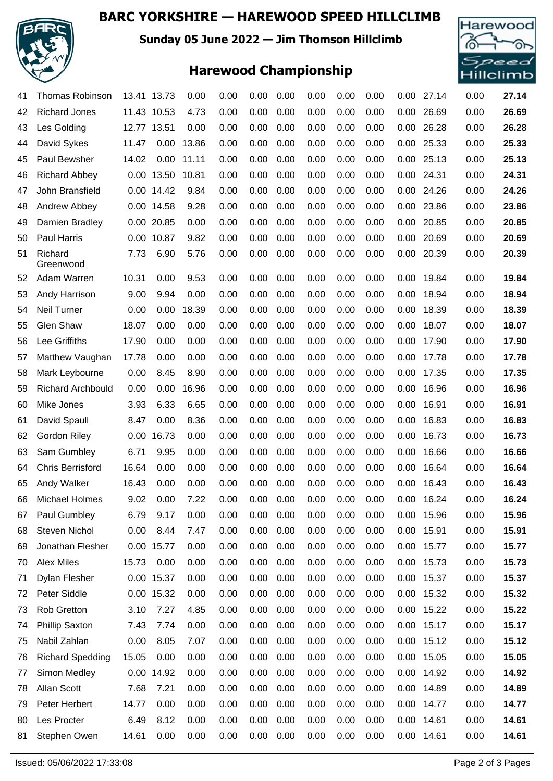### **BARC YORKSHIRE — HAREWOOD SPEED HILLCLIMB**



**Sunday 05 June 2022 — Jim Thomson Hillclimb**

## **Harewood Championship**



| 41 | <b>Thomas Robinson</b>   |             | 13.41 13.73 | 0.00  | 0.00 | 0.00 | 0.00 | 0.00 | 0.00 | 0.00 | $0.00\,$ | 27.14      | 0.00 | 27.14 |
|----|--------------------------|-------------|-------------|-------|------|------|------|------|------|------|----------|------------|------|-------|
| 42 | <b>Richard Jones</b>     |             | 11.43 10.53 | 4.73  | 0.00 | 0.00 | 0.00 | 0.00 | 0.00 | 0.00 | 0.00     | 26.69      | 0.00 | 26.69 |
| 43 | Les Golding              | 12.77 13.51 |             | 0.00  | 0.00 | 0.00 | 0.00 | 0.00 | 0.00 | 0.00 | 0.00     | 26.28      | 0.00 | 26.28 |
| 44 | David Sykes              | 11.47       | 0.00        | 13.86 | 0.00 | 0.00 | 0.00 | 0.00 | 0.00 | 0.00 | 0.00     | 25.33      | 0.00 | 25.33 |
| 45 | Paul Bewsher             | 14.02       | 0.00        | 11.11 | 0.00 | 0.00 | 0.00 | 0.00 | 0.00 | 0.00 | 0.00     | 25.13      | 0.00 | 25.13 |
| 46 | <b>Richard Abbey</b>     |             | 0.00 13.50  | 10.81 | 0.00 | 0.00 | 0.00 | 0.00 | 0.00 | 0.00 | 0.00     | 24.31      | 0.00 | 24.31 |
| 47 | John Bransfield          |             | 0.00 14.42  | 9.84  | 0.00 | 0.00 | 0.00 | 0.00 | 0.00 | 0.00 | 0.00     | 24.26      | 0.00 | 24.26 |
| 48 | Andrew Abbey             |             | 0.00 14.58  | 9.28  | 0.00 | 0.00 | 0.00 | 0.00 | 0.00 | 0.00 | 0.00     | 23.86      | 0.00 | 23.86 |
| 49 | Damien Bradley           |             | 0.00 20.85  | 0.00  | 0.00 | 0.00 | 0.00 | 0.00 | 0.00 | 0.00 | 0.00     | 20.85      | 0.00 | 20.85 |
| 50 | Paul Harris              |             | 0.00 10.87  | 9.82  | 0.00 | 0.00 | 0.00 | 0.00 | 0.00 | 0.00 | 0.00     | 20.69      | 0.00 | 20.69 |
| 51 | Richard<br>Greenwood     | 7.73        | 6.90        | 5.76  | 0.00 | 0.00 | 0.00 | 0.00 | 0.00 | 0.00 | 0.00     | 20.39      | 0.00 | 20.39 |
| 52 | Adam Warren              | 10.31       | 0.00        | 9.53  | 0.00 | 0.00 | 0.00 | 0.00 | 0.00 | 0.00 | 0.00     | 19.84      | 0.00 | 19.84 |
| 53 | Andy Harrison            | 9.00        | 9.94        | 0.00  | 0.00 | 0.00 | 0.00 | 0.00 | 0.00 | 0.00 | 0.00     | 18.94      | 0.00 | 18.94 |
| 54 | <b>Neil Turner</b>       | 0.00        | 0.00        | 18.39 | 0.00 | 0.00 | 0.00 | 0.00 | 0.00 | 0.00 | 0.00     | 18.39      | 0.00 | 18.39 |
| 55 | Glen Shaw                | 18.07       | 0.00        | 0.00  | 0.00 | 0.00 | 0.00 | 0.00 | 0.00 | 0.00 | 0.00     | 18.07      | 0.00 | 18.07 |
| 56 | Lee Griffiths            | 17.90       | 0.00        | 0.00  | 0.00 | 0.00 | 0.00 | 0.00 | 0.00 | 0.00 | 0.00     | 17.90      | 0.00 | 17.90 |
| 57 | Matthew Vaughan          | 17.78       | 0.00        | 0.00  | 0.00 | 0.00 | 0.00 | 0.00 | 0.00 | 0.00 | 0.00     | 17.78      | 0.00 | 17.78 |
| 58 | Mark Leybourne           | 0.00        | 8.45        | 8.90  | 0.00 | 0.00 | 0.00 | 0.00 | 0.00 | 0.00 | 0.00     | 17.35      | 0.00 | 17.35 |
| 59 | <b>Richard Archbould</b> | 0.00        | 0.00        | 16.96 | 0.00 | 0.00 | 0.00 | 0.00 | 0.00 | 0.00 | 0.00     | 16.96      | 0.00 | 16.96 |
| 60 | Mike Jones               | 3.93        | 6.33        | 6.65  | 0.00 | 0.00 | 0.00 | 0.00 | 0.00 | 0.00 | 0.00     | 16.91      | 0.00 | 16.91 |
| 61 | David Spaull             | 8.47        | 0.00        | 8.36  | 0.00 | 0.00 | 0.00 | 0.00 | 0.00 | 0.00 | 0.00     | 16.83      | 0.00 | 16.83 |
| 62 | Gordon Riley             |             | 0.00 16.73  | 0.00  | 0.00 | 0.00 | 0.00 | 0.00 | 0.00 | 0.00 | 0.00     | 16.73      | 0.00 | 16.73 |
| 63 | Sam Gumbley              | 6.71        | 9.95        | 0.00  | 0.00 | 0.00 | 0.00 | 0.00 | 0.00 | 0.00 | 0.00     | 16.66      | 0.00 | 16.66 |
| 64 | <b>Chris Berrisford</b>  | 16.64       | 0.00        | 0.00  | 0.00 | 0.00 | 0.00 | 0.00 | 0.00 | 0.00 | 0.00     | 16.64      | 0.00 | 16.64 |
| 65 | <b>Andy Walker</b>       | 16.43       | 0.00        | 0.00  | 0.00 | 0.00 | 0.00 | 0.00 | 0.00 | 0.00 | 0.00     | 16.43      | 0.00 | 16.43 |
| 66 | <b>Michael Holmes</b>    | 9.02        | 0.00        | 7.22  | 0.00 | 0.00 | 0.00 | 0.00 | 0.00 | 0.00 | 0.00     | 16.24      | 0.00 | 16.24 |
| 67 | Paul Gumbley             | 6.79        | 9.17        | 0.00  | 0.00 | 0.00 | 0.00 | 0.00 | 0.00 | 0.00 |          | 0.00 15.96 | 0.00 | 15.96 |
| 68 | Steven Nichol            | 0.00        | 8.44        | 7.47  | 0.00 | 0.00 | 0.00 | 0.00 | 0.00 | 0.00 | 0.00     | 15.91      | 0.00 | 15.91 |
| 69 | Jonathan Flesher         |             | 0.00 15.77  | 0.00  | 0.00 | 0.00 | 0.00 | 0.00 | 0.00 | 0.00 | 0.00     | 15.77      | 0.00 | 15.77 |
| 70 | <b>Alex Miles</b>        | 15.73       | 0.00        | 0.00  | 0.00 | 0.00 | 0.00 | 0.00 | 0.00 | 0.00 | 0.00     | 15.73      | 0.00 | 15.73 |
| 71 | Dylan Flesher            |             | 0.00 15.37  | 0.00  | 0.00 | 0.00 | 0.00 | 0.00 | 0.00 | 0.00 |          | 0.00 15.37 | 0.00 | 15.37 |
| 72 | Peter Siddle             |             | 0.00 15.32  | 0.00  | 0.00 | 0.00 | 0.00 | 0.00 | 0.00 | 0.00 | 0.00     | 15.32      | 0.00 | 15.32 |
| 73 | <b>Rob Gretton</b>       | 3.10        | 7.27        | 4.85  | 0.00 | 0.00 | 0.00 | 0.00 | 0.00 | 0.00 | 0.00     | 15.22      | 0.00 | 15.22 |
| 74 | <b>Phillip Saxton</b>    | 7.43        | 7.74        | 0.00  | 0.00 | 0.00 | 0.00 | 0.00 | 0.00 | 0.00 | 0.00     | 15.17      | 0.00 | 15.17 |
| 75 | Nabil Zahlan             | 0.00        | 8.05        | 7.07  | 0.00 | 0.00 | 0.00 | 0.00 | 0.00 | 0.00 | 0.00     | 15.12      | 0.00 | 15.12 |
| 76 | <b>Richard Spedding</b>  | 15.05       | 0.00        | 0.00  | 0.00 | 0.00 | 0.00 | 0.00 | 0.00 | 0.00 | 0.00     | 15.05      | 0.00 | 15.05 |
| 77 | Simon Medley             |             | 0.00 14.92  | 0.00  | 0.00 | 0.00 | 0.00 | 0.00 | 0.00 | 0.00 | 0.00     | 14.92      | 0.00 | 14.92 |
| 78 | Allan Scott              | 7.68        | 7.21        | 0.00  | 0.00 | 0.00 | 0.00 | 0.00 | 0.00 | 0.00 | 0.00     | 14.89      | 0.00 | 14.89 |
| 79 | Peter Herbert            | 14.77       | 0.00        | 0.00  | 0.00 | 0.00 | 0.00 | 0.00 | 0.00 | 0.00 | 0.00     | 14.77      | 0.00 | 14.77 |
| 80 | Les Procter              | 6.49        | 8.12        | 0.00  | 0.00 | 0.00 | 0.00 | 0.00 | 0.00 | 0.00 | 0.00     | 14.61      | 0.00 | 14.61 |
| 81 | Stephen Owen             | 14.61       | 0.00        | 0.00  | 0.00 | 0.00 | 0.00 | 0.00 | 0.00 | 0.00 | 0.00     | 14.61      | 0.00 | 14.61 |
|    |                          |             |             |       |      |      |      |      |      |      |          |            |      |       |